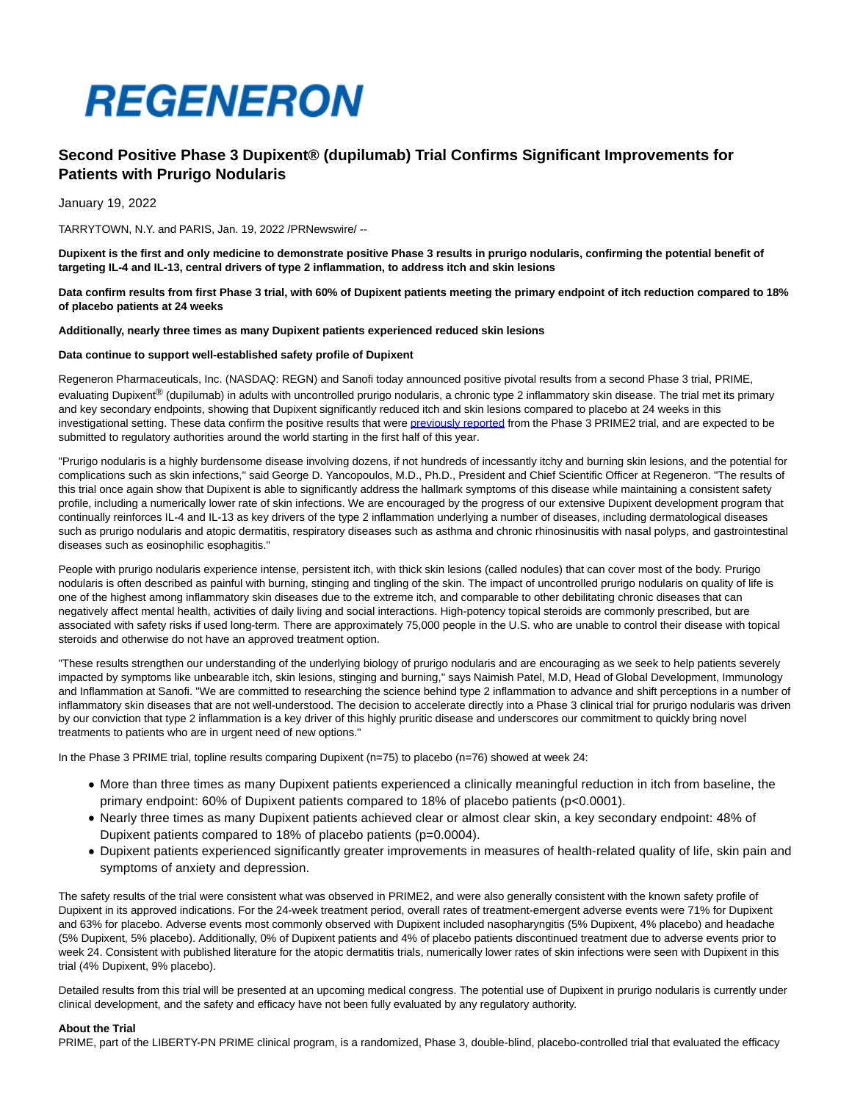

# **Second Positive Phase 3 Dupixent® (dupilumab) Trial Confirms Significant Improvements for Patients with Prurigo Nodularis**

January 19, 2022

TARRYTOWN, N.Y. and PARIS, Jan. 19, 2022 /PRNewswire/ --

**Dupixent is the first and only medicine to demonstrate positive Phase 3 results in prurigo nodularis, confirming the potential benefit of targeting IL-4 and IL-13, central drivers of type 2 inflammation, to address itch and skin lesions**

**Data confirm results from first Phase 3 trial, with 60% of Dupixent patients meeting the primary endpoint of itch reduction compared to 18% of placebo patients at 24 weeks**

#### **Additionally, nearly three times as many Dupixent patients experienced reduced skin lesions**

#### **Data continue to support well-established safety profile of Dupixent**

Regeneron Pharmaceuticals, Inc. (NASDAQ: REGN) and Sanofi today announced positive pivotal results from a second Phase 3 trial, PRIME, evaluating Dupixent® (dupilumab) in adults with uncontrolled prurigo nodularis, a chronic type 2 inflammatory skin disease. The trial met its primary and key secondary endpoints, showing that Dupixent significantly reduced itch and skin lesions compared to placebo at 24 weeks in this investigational setting. These data confirm the positive results that wer[e previously reported f](https://c212.net/c/link/?t=0&l=en&o=3416841-1&h=825103596&u=https%3A%2F%2Fnewsroom.regeneron.com%2Fnews-releases%2Fnews-release-details%2Fdupixentr-dupilumab-first-biologic-significantly-reduce-itch-and&a=previously+reported)rom the Phase 3 PRIME2 trial, and are expected to be submitted to regulatory authorities around the world starting in the first half of this year.

"Prurigo nodularis is a highly burdensome disease involving dozens, if not hundreds of incessantly itchy and burning skin lesions, and the potential for complications such as skin infections," said George D. Yancopoulos, M.D., Ph.D., President and Chief Scientific Officer at Regeneron. "The results of this trial once again show that Dupixent is able to significantly address the hallmark symptoms of this disease while maintaining a consistent safety profile, including a numerically lower rate of skin infections. We are encouraged by the progress of our extensive Dupixent development program that continually reinforces IL-4 and IL-13 as key drivers of the type 2 inflammation underlying a number of diseases, including dermatological diseases such as prurigo nodularis and atopic dermatitis, respiratory diseases such as asthma and chronic rhinosinusitis with nasal polyps, and gastrointestinal diseases such as eosinophilic esophagitis."

People with prurigo nodularis experience intense, persistent itch, with thick skin lesions (called nodules) that can cover most of the body. Prurigo nodularis is often described as painful with burning, stinging and tingling of the skin. The impact of uncontrolled prurigo nodularis on quality of life is one of the highest among inflammatory skin diseases due to the extreme itch, and comparable to other debilitating chronic diseases that can negatively affect mental health, activities of daily living and social interactions. High-potency topical steroids are commonly prescribed, but are associated with safety risks if used long-term. There are approximately 75,000 people in the U.S. who are unable to control their disease with topical steroids and otherwise do not have an approved treatment option.

"These results strengthen our understanding of the underlying biology of prurigo nodularis and are encouraging as we seek to help patients severely impacted by symptoms like unbearable itch, skin lesions, stinging and burning," says Naimish Patel, M.D, Head of Global Development, Immunology and Inflammation at Sanofi. "We are committed to researching the science behind type 2 inflammation to advance and shift perceptions in a number of inflammatory skin diseases that are not well-understood. The decision to accelerate directly into a Phase 3 clinical trial for prurigo nodularis was driven by our conviction that type 2 inflammation is a key driver of this highly pruritic disease and underscores our commitment to quickly bring novel treatments to patients who are in urgent need of new options."

In the Phase 3 PRIME trial, topline results comparing Dupixent (n=75) to placebo (n=76) showed at week 24:

- More than three times as many Dupixent patients experienced a clinically meaningful reduction in itch from baseline, the primary endpoint: 60% of Dupixent patients compared to 18% of placebo patients (p<0.0001).
- Nearly three times as many Dupixent patients achieved clear or almost clear skin, a key secondary endpoint: 48% of Dupixent patients compared to 18% of placebo patients (p=0.0004).
- Dupixent patients experienced significantly greater improvements in measures of health-related quality of life, skin pain and symptoms of anxiety and depression.

The safety results of the trial were consistent what was observed in PRIME2, and were also generally consistent with the known safety profile of Dupixent in its approved indications. For the 24-week treatment period, overall rates of treatment-emergent adverse events were 71% for Dupixent and 63% for placebo. Adverse events most commonly observed with Dupixent included nasopharyngitis (5% Dupixent, 4% placebo) and headache (5% Dupixent, 5% placebo). Additionally, 0% of Dupixent patients and 4% of placebo patients discontinued treatment due to adverse events prior to week 24. Consistent with published literature for the atopic dermatitis trials, numerically lower rates of skin infections were seen with Dupixent in this trial (4% Dupixent, 9% placebo).

Detailed results from this trial will be presented at an upcoming medical congress. The potential use of Dupixent in prurigo nodularis is currently under clinical development, and the safety and efficacy have not been fully evaluated by any regulatory authority.

#### **About the Trial**

PRIME, part of the LIBERTY-PN PRIME clinical program, is a randomized, Phase 3, double-blind, placebo-controlled trial that evaluated the efficacy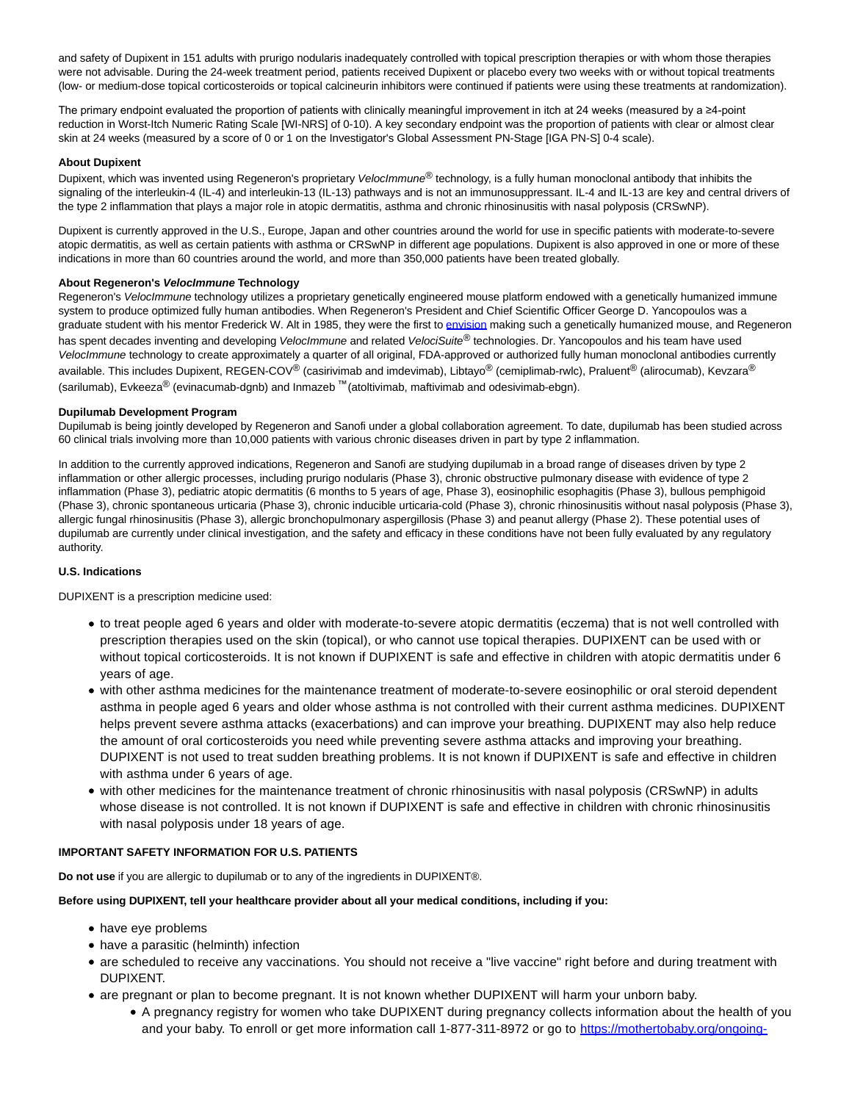and safety of Dupixent in 151 adults with prurigo nodularis inadequately controlled with topical prescription therapies or with whom those therapies were not advisable. During the 24-week treatment period, patients received Dupixent or placebo every two weeks with or without topical treatments (low- or medium-dose topical corticosteroids or topical calcineurin inhibitors were continued if patients were using these treatments at randomization).

The primary endpoint evaluated the proportion of patients with clinically meaningful improvement in itch at 24 weeks (measured by a ≥4-point reduction in Worst-Itch Numeric Rating Scale [WI-NRS] of 0-10). A key secondary endpoint was the proportion of patients with clear or almost clear skin at 24 weeks (measured by a score of 0 or 1 on the Investigator's Global Assessment PN-Stage [IGA PN-S] 0-4 scale).

# **About Dupixent**

Dupixent, which was invented using Regeneron's proprietary VelocImmune<sup>®</sup> technology, is a fully human monoclonal antibody that inhibits the signaling of the interleukin-4 (IL-4) and interleukin-13 (IL-13) pathways and is not an immunosuppressant. IL-4 and IL-13 are key and central drivers of the type 2 inflammation that plays a major role in atopic dermatitis, asthma and chronic rhinosinusitis with nasal polyposis (CRSwNP).

Dupixent is currently approved in the U.S., Europe, Japan and other countries around the world for use in specific patients with moderate-to-severe atopic dermatitis, as well as certain patients with asthma or CRSwNP in different age populations. Dupixent is also approved in one or more of these indications in more than 60 countries around the world, and more than 350,000 patients have been treated globally.

# **About Regeneron's VelocImmune Technology**

Regeneron's VelocImmune technology utilizes a proprietary genetically engineered mouse platform endowed with a genetically humanized immune system to produce optimized fully human antibodies. When Regeneron's President and Chief Scientific Officer George D. Yancopoulos was a graduate student with his mentor Frederick W. Alt in 1985, they were the first to [envision m](https://c212.net/c/link/?t=0&l=en&o=3416841-1&h=3616259034&u=https%3A%2F%2Fwww.sciencedirect.com%2Fscience%2Farticle%2Fabs%2Fpii%2F0168952585900897&a=envision)aking such a genetically humanized mouse, and Regeneron has spent decades inventing and developing Veloclmmune and related VelociSuite® technologies. Dr. Yancopoulos and his team have used VelocImmune technology to create approximately a quarter of all original, FDA-approved or authorized fully human monoclonal antibodies currently available. This includes Dupixent, REGEN-COV® (casirivimab and imdevimab), Libtayo® (cemiplimab-rwlc), Praluent® (alirocumab), Kevzara® (sarilumab), Evkeeza® (evinacumab-dgnb) and Inmazeb ™ (atoltivimab, maftivimab and odesivimab-ebgn).

## **Dupilumab Development Program**

Dupilumab is being jointly developed by Regeneron and Sanofi under a global collaboration agreement. To date, dupilumab has been studied across 60 clinical trials involving more than 10,000 patients with various chronic diseases driven in part by type 2 inflammation.

In addition to the currently approved indications, Regeneron and Sanofi are studying dupilumab in a broad range of diseases driven by type 2 inflammation or other allergic processes, including prurigo nodularis (Phase 3), chronic obstructive pulmonary disease with evidence of type 2 inflammation (Phase 3), pediatric atopic dermatitis (6 months to 5 years of age, Phase 3), eosinophilic esophagitis (Phase 3), bullous pemphigoid (Phase 3), chronic spontaneous urticaria (Phase 3), chronic inducible urticaria-cold (Phase 3), chronic rhinosinusitis without nasal polyposis (Phase 3), allergic fungal rhinosinusitis (Phase 3), allergic bronchopulmonary aspergillosis (Phase 3) and peanut allergy (Phase 2). These potential uses of dupilumab are currently under clinical investigation, and the safety and efficacy in these conditions have not been fully evaluated by any regulatory authority.

## **U.S. Indications**

DUPIXENT is a prescription medicine used:

- to treat people aged 6 years and older with moderate-to-severe atopic dermatitis (eczema) that is not well controlled with prescription therapies used on the skin (topical), or who cannot use topical therapies. DUPIXENT can be used with or without topical corticosteroids. It is not known if DUPIXENT is safe and effective in children with atopic dermatitis under 6 years of age.
- with other asthma medicines for the maintenance treatment of moderate-to-severe eosinophilic or oral steroid dependent asthma in people aged 6 years and older whose asthma is not controlled with their current asthma medicines. DUPIXENT helps prevent severe asthma attacks (exacerbations) and can improve your breathing. DUPIXENT may also help reduce the amount of oral corticosteroids you need while preventing severe asthma attacks and improving your breathing. DUPIXENT is not used to treat sudden breathing problems. It is not known if DUPIXENT is safe and effective in children with asthma under 6 years of age.
- with other medicines for the maintenance treatment of chronic rhinosinusitis with nasal polyposis (CRSwNP) in adults whose disease is not controlled. It is not known if DUPIXENT is safe and effective in children with chronic rhinosinusitis with nasal polyposis under 18 years of age.

## **IMPORTANT SAFETY INFORMATION FOR U.S. PATIENTS**

**Do not use** if you are allergic to dupilumab or to any of the ingredients in DUPIXENT®.

## **Before using DUPIXENT, tell your healthcare provider about all your medical conditions, including if you:**

- have eye problems
- have a parasitic (helminth) infection
- are scheduled to receive any vaccinations. You should not receive a "live vaccine" right before and during treatment with DUPIXENT.
- are pregnant or plan to become pregnant. It is not known whether DUPIXENT will harm your unborn baby.
	- A pregnancy registry for women who take DUPIXENT during pregnancy collects information about the health of you and your baby. To enroll or get more information call 1-877-311-8972 or go to [https://mothertobaby.org/ongoing-](https://c212.net/c/link/?t=0&l=en&o=3416841-1&h=3648475292&u=https%3A%2F%2Fmothertobaby.org%2Fongoing-study%2Fdupixent%2F&a=https%3A%2F%2Fmothertobaby.org%2Fongoing-study%2Fdupixent%2F)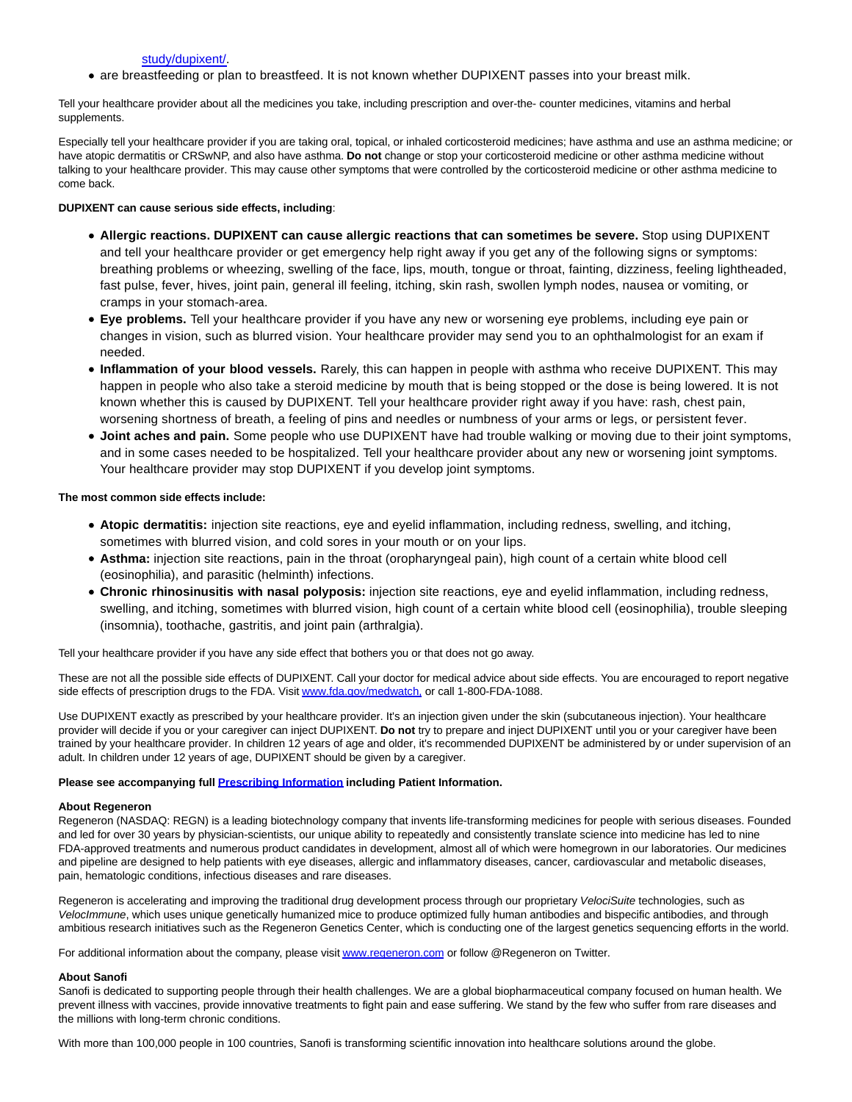[study/dupixent/.](https://c212.net/c/link/?t=0&l=en&o=3416841-1&h=3648475292&u=https%3A%2F%2Fmothertobaby.org%2Fongoing-study%2Fdupixent%2F&a=https%3A%2F%2Fmothertobaby.org%2Fongoing-study%2Fdupixent%2F)

are breastfeeding or plan to breastfeed. It is not known whether DUPIXENT passes into your breast milk.

Tell your healthcare provider about all the medicines you take, including prescription and over-the- counter medicines, vitamins and herbal supplements.

Especially tell your healthcare provider if you are taking oral, topical, or inhaled corticosteroid medicines; have asthma and use an asthma medicine; or have atopic dermatitis or CRSwNP, and also have asthma. **Do not** change or stop your corticosteroid medicine or other asthma medicine without talking to your healthcare provider. This may cause other symptoms that were controlled by the corticosteroid medicine or other asthma medicine to come back.

## **DUPIXENT can cause serious side effects, including**:

- **Allergic reactions. DUPIXENT can cause allergic reactions that can sometimes be severe.** Stop using DUPIXENT and tell your healthcare provider or get emergency help right away if you get any of the following signs or symptoms: breathing problems or wheezing, swelling of the face, lips, mouth, tongue or throat, fainting, dizziness, feeling lightheaded, fast pulse, fever, hives, joint pain, general ill feeling, itching, skin rash, swollen lymph nodes, nausea or vomiting, or cramps in your stomach-area.
- **Eye problems.** Tell your healthcare provider if you have any new or worsening eye problems, including eye pain or changes in vision, such as blurred vision. Your healthcare provider may send you to an ophthalmologist for an exam if needed.
- **Inflammation of your blood vessels.** Rarely, this can happen in people with asthma who receive DUPIXENT. This may happen in people who also take a steroid medicine by mouth that is being stopped or the dose is being lowered. It is not known whether this is caused by DUPIXENT. Tell your healthcare provider right away if you have: rash, chest pain, worsening shortness of breath, a feeling of pins and needles or numbness of your arms or legs, or persistent fever.
- **Joint aches and pain.** Some people who use DUPIXENT have had trouble walking or moving due to their joint symptoms, and in some cases needed to be hospitalized. Tell your healthcare provider about any new or worsening joint symptoms. Your healthcare provider may stop DUPIXENT if you develop joint symptoms.

# **The most common side effects include:**

- **Atopic dermatitis:** injection site reactions, eye and eyelid inflammation, including redness, swelling, and itching, sometimes with blurred vision, and cold sores in your mouth or on your lips.
- **Asthma:** injection site reactions, pain in the throat (oropharyngeal pain), high count of a certain white blood cell (eosinophilia), and parasitic (helminth) infections.
- **Chronic rhinosinusitis with nasal polyposis:** injection site reactions, eye and eyelid inflammation, including redness, swelling, and itching, sometimes with blurred vision, high count of a certain white blood cell (eosinophilia), trouble sleeping (insomnia), toothache, gastritis, and joint pain (arthralgia).

Tell your healthcare provider if you have any side effect that bothers you or that does not go away.

These are not all the possible side effects of DUPIXENT. Call your doctor for medical advice about side effects. You are encouraged to report negative side effects of prescription drugs to the FDA. Visi[t www.fda.gov/medwatch, o](https://c212.net/c/link/?t=0&l=en&o=3416841-1&h=4063242365&u=http%3A%2F%2Fwww.fda.gov%2Fmedwatch&a=www.fda.gov%2Fmedwatch%2C)r call 1-800-FDA-1088.

Use DUPIXENT exactly as prescribed by your healthcare provider. It's an injection given under the skin (subcutaneous injection). Your healthcare provider will decide if you or your caregiver can inject DUPIXENT. **Do not** try to prepare and inject DUPIXENT until you or your caregiver have been trained by your healthcare provider. In children 12 years of age and older, it's recommended DUPIXENT be administered by or under supervision of an adult. In children under 12 years of age, DUPIXENT should be given by a caregiver.

## **Please see accompanying full [Prescribing Information](https://c212.net/c/link/?t=0&l=en&o=3416841-1&h=1214736251&u=https%3A%2F%2Fwww.regeneron.com%2Fsites%2Fdefault%2Ffiles%2FDupixent_FPI.pdf&a=Prescribing+Information) including Patient Information.**

## **About Regeneron**

Regeneron (NASDAQ: REGN) is a leading biotechnology company that invents life-transforming medicines for people with serious diseases. Founded and led for over 30 years by physician-scientists, our unique ability to repeatedly and consistently translate science into medicine has led to nine FDA-approved treatments and numerous product candidates in development, almost all of which were homegrown in our laboratories. Our medicines and pipeline are designed to help patients with eye diseases, allergic and inflammatory diseases, cancer, cardiovascular and metabolic diseases, pain, hematologic conditions, infectious diseases and rare diseases.

Regeneron is accelerating and improving the traditional drug development process through our proprietary VelociSuite technologies, such as VelocImmune, which uses unique genetically humanized mice to produce optimized fully human antibodies and bispecific antibodies, and through ambitious research initiatives such as the Regeneron Genetics Center, which is conducting one of the largest genetics sequencing efforts in the world.

For additional information about the company, please visi[t www.regeneron.com o](https://c212.net/c/link/?t=0&l=en&o=3416841-1&h=1740501419&u=http%3A%2F%2Fwww.regeneron.com%2F&a=www.regeneron.com)r follow @Regeneron on Twitter.

## **About Sanofi**

Sanofi is dedicated to supporting people through their health challenges. We are a global biopharmaceutical company focused on human health. We prevent illness with vaccines, provide innovative treatments to fight pain and ease suffering. We stand by the few who suffer from rare diseases and the millions with long-term chronic conditions.

With more than 100,000 people in 100 countries, Sanofi is transforming scientific innovation into healthcare solutions around the globe.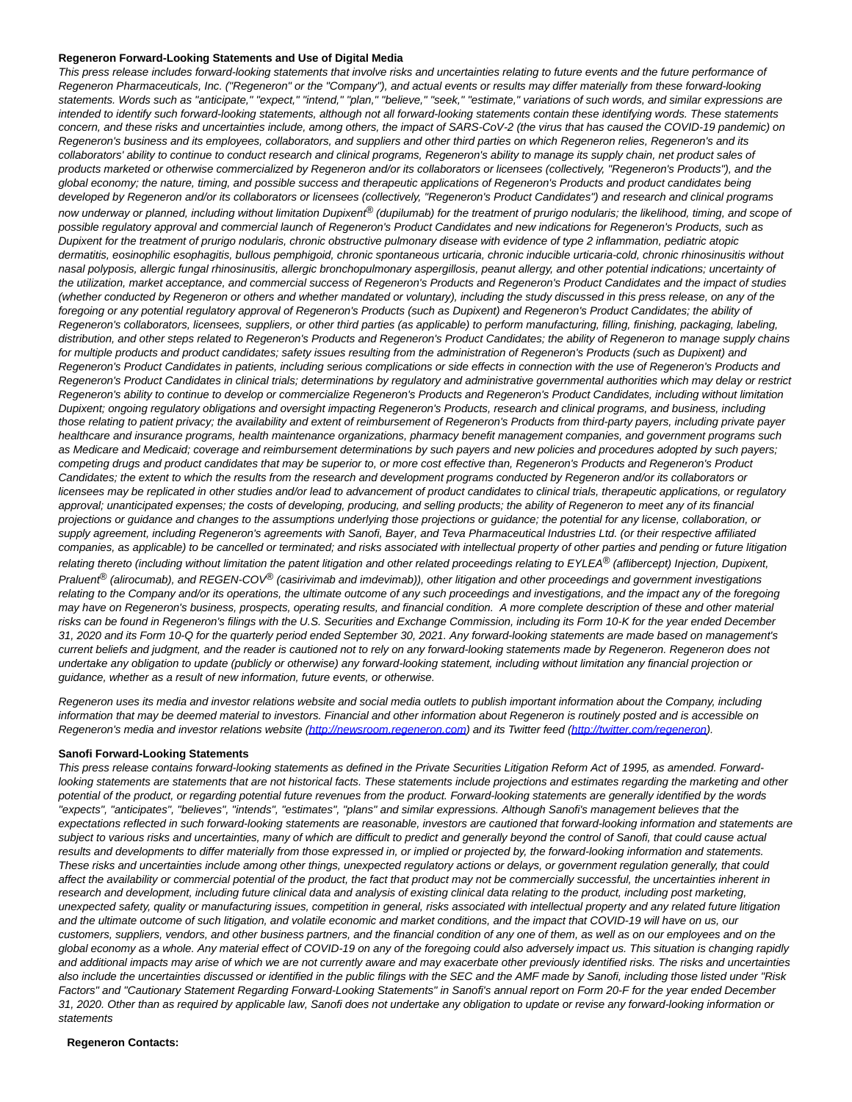#### **Regeneron Forward-Looking Statements and Use of Digital Media**

This press release includes forward-looking statements that involve risks and uncertainties relating to future events and the future performance of Regeneron Pharmaceuticals, Inc. ("Regeneron" or the "Company"), and actual events or results may differ materially from these forward-looking statements. Words such as "anticipate," "expect," "intend," "plan," "believe," "seek," "estimate," variations of such words, and similar expressions are intended to identify such forward-looking statements, although not all forward-looking statements contain these identifying words. These statements concern, and these risks and uncertainties include, among others, the impact of SARS-CoV-2 (the virus that has caused the COVID-19 pandemic) on Regeneron's business and its employees, collaborators, and suppliers and other third parties on which Regeneron relies, Regeneron's and its collaborators' ability to continue to conduct research and clinical programs, Regeneron's ability to manage its supply chain, net product sales of products marketed or otherwise commercialized by Regeneron and/or its collaborators or licensees (collectively, "Regeneron's Products"), and the global economy; the nature, timing, and possible success and therapeutic applications of Regeneron's Products and product candidates being developed by Regeneron and/or its collaborators or licensees (collectively, "Regeneron's Product Candidates") and research and clinical programs now underway or planned, including without limitation Dupixent<sup>®</sup> (dupilumab) for the treatment of prurigo nodularis; the likelihood, timing, and scope of possible regulatory approval and commercial launch of Regeneron's Product Candidates and new indications for Regeneron's Products, such as Dupixent for the treatment of prurigo nodularis, chronic obstructive pulmonary disease with evidence of type 2 inflammation, pediatric atopic dermatitis, eosinophilic esophagitis, bullous pemphigoid, chronic spontaneous urticaria, chronic inducible urticaria-cold, chronic rhinosinusitis without nasal polyposis, allergic fungal rhinosinusitis, allergic bronchopulmonary aspergillosis, peanut allergy, and other potential indications; uncertainty of the utilization, market acceptance, and commercial success of Regeneron's Products and Regeneron's Product Candidates and the impact of studies (whether conducted by Regeneron or others and whether mandated or voluntary), including the study discussed in this press release, on any of the foregoing or any potential regulatory approval of Regeneron's Products (such as Dupixent) and Regeneron's Product Candidates; the ability of Regeneron's collaborators, licensees, suppliers, or other third parties (as applicable) to perform manufacturing, filling, finishing, packaging, labeling, distribution, and other steps related to Regeneron's Products and Regeneron's Product Candidates; the ability of Regeneron to manage supply chains for multiple products and product candidates; safety issues resulting from the administration of Regeneron's Products (such as Dupixent) and Regeneron's Product Candidates in patients, including serious complications or side effects in connection with the use of Regeneron's Products and Regeneron's Product Candidates in clinical trials; determinations by regulatory and administrative governmental authorities which may delay or restrict Regeneron's ability to continue to develop or commercialize Regeneron's Products and Regeneron's Product Candidates, including without limitation Dupixent; ongoing regulatory obligations and oversight impacting Regeneron's Products, research and clinical programs, and business, including those relating to patient privacy; the availability and extent of reimbursement of Regeneron's Products from third-party payers, including private payer healthcare and insurance programs, health maintenance organizations, pharmacy benefit management companies, and government programs such as Medicare and Medicaid; coverage and reimbursement determinations by such payers and new policies and procedures adopted by such payers; competing drugs and product candidates that may be superior to, or more cost effective than, Regeneron's Products and Regeneron's Product Candidates; the extent to which the results from the research and development programs conducted by Regeneron and/or its collaborators or licensees may be replicated in other studies and/or lead to advancement of product candidates to clinical trials, therapeutic applications, or regulatory approval; unanticipated expenses; the costs of developing, producing, and selling products; the ability of Regeneron to meet any of its financial projections or guidance and changes to the assumptions underlying those projections or guidance; the potential for any license, collaboration, or supply agreement, including Regeneron's agreements with Sanofi, Bayer, and Teva Pharmaceutical Industries Ltd. (or their respective affiliated companies, as applicable) to be cancelled or terminated; and risks associated with intellectual property of other parties and pending or future litigation relating thereto (including without limitation the patent litigation and other related proceedings relating to EYLEA® (aflibercept) Injection, Dupixent, Praluent<sup>®</sup> (alirocumab), and REGEN-COV<sup>®</sup> (casirivimab and imdevimab)), other litigation and other proceedings and government investigations relating to the Company and/or its operations, the ultimate outcome of any such proceedings and investigations, and the impact any of the foregoing may have on Regeneron's business, prospects, operating results, and financial condition. A more complete description of these and other material risks can be found in Regeneron's filings with the U.S. Securities and Exchange Commission, including its Form 10-K for the year ended December 31, 2020 and its Form 10-Q for the quarterly period ended September 30, 2021. Any forward-looking statements are made based on management's current beliefs and judgment, and the reader is cautioned not to rely on any forward-looking statements made by Regeneron. Regeneron does not undertake any obligation to update (publicly or otherwise) any forward-looking statement, including without limitation any financial projection or guidance, whether as a result of new information, future events, or otherwise.

Regeneron uses its media and investor relations website and social media outlets to publish important information about the Company, including information that may be deemed material to investors. Financial and other information about Regeneron is routinely posted and is accessible on Regeneron's media and investor relations website [\(http://newsroom.regeneron.com\)](https://c212.net/c/link/?t=0&l=en&o=3416841-1&h=1322552017&u=http%3A%2F%2Fnewsroom.regeneron.com%2F&a=http%3A%2F%2Fnewsroom.regeneron.com) and its Twitter feed [\(http://twitter.com/regeneron\).](https://c212.net/c/link/?t=0&l=en&o=3416841-1&h=1216689446&u=https%3A%2F%2Fc212.net%2Fc%2Flink%2F%3Ft%3D0%26l%3Den%26o%3D3387026-1%26h%3D619644995%26u%3Dhttp%253A%252F%252Ftwitter.com%252Fregeneron%26a%3Dhttp%253A%252F%252Ftwitter.com%252Fregeneron&a=http%3A%2F%2Ftwitter.com%2Fregeneron)

#### **Sanofi Forward-Looking Statements**

This press release contains forward-looking statements as defined in the Private Securities Litigation Reform Act of 1995, as amended. Forwardlooking statements are statements that are not historical facts. These statements include projections and estimates regarding the marketing and other potential of the product, or regarding potential future revenues from the product. Forward-looking statements are generally identified by the words "expects", "anticipates", "believes", "intends", "estimates", "plans" and similar expressions. Although Sanofi's management believes that the expectations reflected in such forward-looking statements are reasonable, investors are cautioned that forward-looking information and statements are subject to various risks and uncertainties, many of which are difficult to predict and generally beyond the control of Sanofi, that could cause actual results and developments to differ materially from those expressed in, or implied or projected by, the forward-looking information and statements. These risks and uncertainties include among other things, unexpected regulatory actions or delays, or government regulation generally, that could affect the availability or commercial potential of the product, the fact that product may not be commercially successful, the uncertainties inherent in research and development, including future clinical data and analysis of existing clinical data relating to the product, including post marketing, unexpected safety, quality or manufacturing issues, competition in general, risks associated with intellectual property and any related future litigation and the ultimate outcome of such litigation, and volatile economic and market conditions, and the impact that COVID-19 will have on us, our customers, suppliers, vendors, and other business partners, and the financial condition of any one of them, as well as on our employees and on the global economy as a whole. Any material effect of COVID-19 on any of the foregoing could also adversely impact us. This situation is changing rapidly and additional impacts may arise of which we are not currently aware and may exacerbate other previously identified risks. The risks and uncertainties also include the uncertainties discussed or identified in the public filings with the SEC and the AMF made by Sanofi, including those listed under "Risk Factors" and "Cautionary Statement Regarding Forward-Looking Statements" in Sanofi's annual report on Form 20-F for the year ended December 31, 2020. Other than as required by applicable law, Sanofi does not undertake any obligation to update or revise any forward-looking information or statements

## **Regeneron Contacts:**